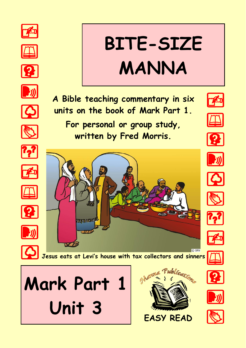























C GRN **Jesus eats at Levi's house with tax collectors and sinners**

**A Bible teaching commentary in six** 

**units on the book of Mark Part 1.**

**For personal or group study,**

**written by Fred Morris.**



**PASSAGE** 



**BITE-SIZE** 

**MANNA**























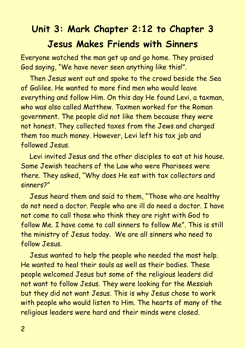# **Unit 3: Mark Chapter 2:12 to Chapter 3 Jesus Makes Friends with Sinners**

Everyone watched the man get up and go home. They praised God saying, "We have never seen anything like this!".

Then Jesus went out and spoke to the crowd beside the Sea of Galilee. He wanted to more find men who would leave everything and follow Him. On this day He found Levi, a taxman, who was also called Matthew. Taxmen worked for the Roman government. The people did not like them because they were not honest. They collected taxes from the Jews and charged them too much money. However, Levi left his tax job and followed Jesus.

Levi invited Jesus and the other disciples to eat at his house. Some Jewish teachers of the Law who were Pharisees were there. They asked, "Why does He eat with tax collectors and sinners?"

Jesus heard them and said to them, "Those who are healthy do not need a doctor. People who are ill do need a doctor. I have not come to call those who think they are right with God to follow Me. I have come to call sinners to follow Me". This is still the ministry of Jesus today. We are all sinners who need to follow Jesus.

Jesus wanted to help the people who needed the most help. He wanted to heal their souls as well as their bodies. These people welcomed Jesus but some of the religious leaders did not want to follow Jesus. They were looking for the Messiah but they did not want Jesus. This is why Jesus chose to work with people who would listen to Him. The hearts of many of the religious leaders were hard and their minds were closed.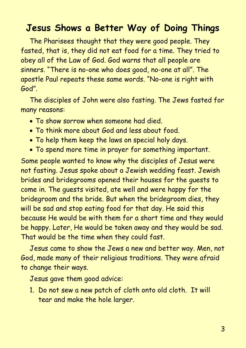#### **Jesus Shows a Better Way of Doing Things**

The Pharisees thought that they were good people. They fasted, that is, they did not eat food for a time. They tried to obey all of the Law of God. God warns that all people are sinners. "There is no-one who does good, no-one at all". The apostle Paul repeats these same words. "No-one is right with God".

The disciples of John were also fasting. The Jews fasted for many reasons:

- To show sorrow when someone had died.
- To think more about God and less about food.
- To help them keep the laws on special holy days.
- To spend more time in prayer for something important.

Some people wanted to know why the disciples of Jesus were not fasting. Jesus spoke about a Jewish wedding feast. Jewish brides and bridegrooms opened their houses for the guests to come in. The guests visited, ate well and were happy for the bridegroom and the bride. But when the bridegroom dies, they will be sad and stop eating food for that day. He said this because He would be with them for a short time and they would be happy. Later, He would be taken away and they would be sad. That would be the time when they could fast.

Jesus came to show the Jews a new and better way. Men, not God, made many of their religious traditions. They were afraid to change their ways.

Jesus gave them good advice:

1. Do not sew a new patch of cloth onto old cloth. It will tear and make the hole larger.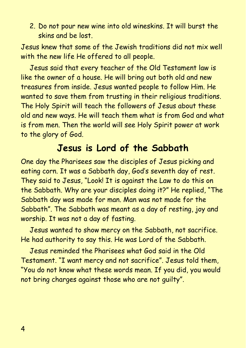2. Do not pour new wine into old wineskins. It will burst the skins and be lost.

Jesus knew that some of the Jewish traditions did not mix well with the new life He offered to all people.

Jesus said that every teacher of the Old Testament law is like the owner of a house. He will bring out both old and new treasures from inside. Jesus wanted people to follow Him. He wanted to save them from trusting in their religious traditions. The Holy Spirit will teach the followers of Jesus about these old and new ways. He will teach them what is from God and what is from men. Then the world will see Holy Spirit power at work to the glory of God.

### **Jesus is Lord of the Sabbath**

One day the Pharisees saw the disciples of Jesus picking and eating corn. It was a Sabbath day, God's seventh day of rest. They said to Jesus, "Look! It is against the Law to do this on the Sabbath. Why are your disciples doing it?" He replied, "The Sabbath day was made for man. Man was not made for the Sabbath". The Sabbath was meant as a day of resting, joy and worship. It was not a day of fasting.

Jesus wanted to show mercy on the Sabbath, not sacrifice. He had authority to say this. He was Lord of the Sabbath.

Jesus reminded the Pharisees what God said in the Old Testament. "I want mercy and not sacrifice". Jesus told them, "You do not know what these words mean. If you did, you would not bring charges against those who are not guilty".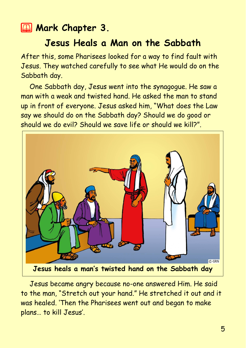#### **2 Mark Chapter 3.**

#### **Jesus Heals a Man on the Sabbath**

After this, some Pharisees looked for a way to find fault with Jesus. They watched carefully to see what He would do on the Sabbath day.

One Sabbath day, Jesus went into the synagogue. He saw a man with a weak and twisted hand. He asked the man to stand up in front of everyone. Jesus asked him, "What does the Law say we should do on the Sabbath day? Should we do good or should we do evil? Should we save life or should we kill?".



Jesus became angry because no-one answered Him. He said to the man, "Stretch out your hand." He stretched it out and it was healed. 'Then the Pharisees went out and began to make plans… to kill Jesus'.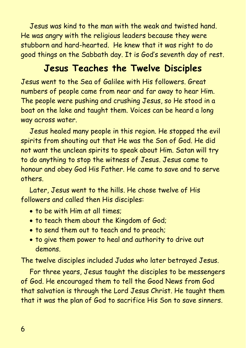Jesus was kind to the man with the weak and twisted hand. He was angry with the religious leaders because they were stubborn and hard-hearted. He knew that it was right to do good things on the Sabbath day. It is God's seventh day of rest.

#### **Jesus Teaches the Twelve Disciples**

Jesus went to the Sea of Galilee with His followers. Great numbers of people came from near and far away to hear Him. The people were pushing and crushing Jesus, so He stood in a boat on the lake and taught them. Voices can be heard a long way across water.

Jesus healed many people in this region. He stopped the evil spirits from shouting out that He was the Son of God. He did not want the unclean spirits to speak about Him. Satan will try to do anything to stop the witness of Jesus. Jesus came to honour and obey God His Father. He came to save and to serve others.

Later, Jesus went to the hills. He chose twelve of His followers and called then His disciples:

- to be with Him at all times;
- to teach them about the Kingdom of God;
- to send them out to teach and to preach;
- to give them power to heal and authority to drive out demons.

The twelve disciples included Judas who later betrayed Jesus.

For three years, Jesus taught the disciples to be messengers of God. He encouraged them to tell the Good News from God that salvation is through the Lord Jesus Christ. He taught them that it was the plan of God to sacrifice His Son to save sinners.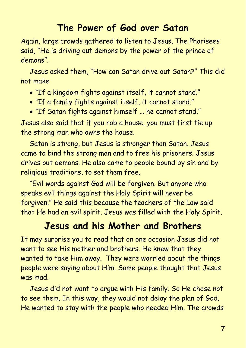### **The Power of God over Satan**

Again, large crowds gathered to listen to Jesus. The Pharisees said, "He is driving out demons by the power of the prince of demons".

Jesus asked them, "How can Satan drive out Satan?" This did not make

- "If a kingdom fights against itself, it cannot stand."
- "If a family fights against itself, it cannot stand."
- "If Satan fights against himself … he cannot stand."

Jesus also said that if you rob a house, you must first tie up the strong man who owns the house.

Satan is strong, but Jesus is stronger than Satan. Jesus came to bind the strong man and to free his prisoners. Jesus drives out demons. He also came to people bound by sin and by religious traditions, to set them free.

"Evil words against God will be forgiven. But anyone who speaks evil things against the Holy Spirit will never be forgiven." He said this because the teachers of the Law said that He had an evil spirit. Jesus was filled with the Holy Spirit.

## **Jesus and his Mother and Brothers**

It may surprise you to read that on one occasion Jesus did not want to see His mother and brothers. He knew that they wanted to take Him away. They were worried about the things people were saying about Him. Some people thought that Jesus was mad.

Jesus did not want to argue with His family. So He chose not to see them. In this way, they would not delay the plan of God. He wanted to stay with the people who needed Him. The crowds